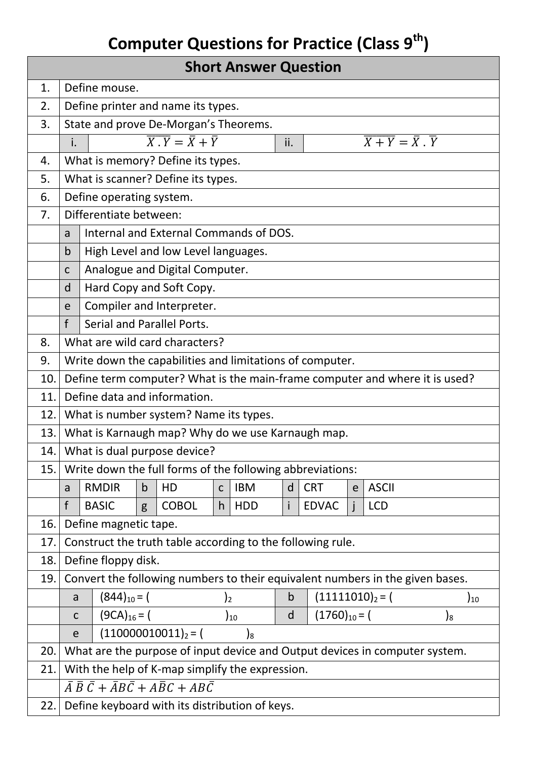## **Computer Questions for Practice (Class 9th)**

| <b>Short Answer Question</b> |                                                                                                 |                                                                                                                     |             |              |             |            |              |              |                   |              |  |                   |
|------------------------------|-------------------------------------------------------------------------------------------------|---------------------------------------------------------------------------------------------------------------------|-------------|--------------|-------------|------------|--------------|--------------|-------------------|--------------|--|-------------------|
| 1.                           | Define mouse.                                                                                   |                                                                                                                     |             |              |             |            |              |              |                   |              |  |                   |
| 2.                           |                                                                                                 | Define printer and name its types.                                                                                  |             |              |             |            |              |              |                   |              |  |                   |
| 3.                           |                                                                                                 | State and prove De-Morgan's Theorems.                                                                               |             |              |             |            |              |              |                   |              |  |                   |
|                              | i.                                                                                              | $\overline{X \cdot Y} = \overline{X} + \overline{Y}$<br>$\overline{X+Y} = \overline{X} \cdot \overline{Y}$<br>ii.   |             |              |             |            |              |              |                   |              |  |                   |
| 4.                           |                                                                                                 | What is memory? Define its types.                                                                                   |             |              |             |            |              |              |                   |              |  |                   |
| 5.                           | What is scanner? Define its types.                                                              |                                                                                                                     |             |              |             |            |              |              |                   |              |  |                   |
| 6.                           |                                                                                                 | Define operating system.                                                                                            |             |              |             |            |              |              |                   |              |  |                   |
| 7.                           |                                                                                                 | Differentiate between:                                                                                              |             |              |             |            |              |              |                   |              |  |                   |
|                              | a                                                                                               | Internal and External Commands of DOS.                                                                              |             |              |             |            |              |              |                   |              |  |                   |
|                              | $\mathsf b$                                                                                     | High Level and low Level languages.                                                                                 |             |              |             |            |              |              |                   |              |  |                   |
|                              | $\mathsf{C}$                                                                                    | Analogue and Digital Computer.                                                                                      |             |              |             |            |              |              |                   |              |  |                   |
|                              | d                                                                                               | Hard Copy and Soft Copy.                                                                                            |             |              |             |            |              |              |                   |              |  |                   |
|                              | e                                                                                               | Compiler and Interpreter.                                                                                           |             |              |             |            |              |              |                   |              |  |                   |
|                              | $\mathsf{f}$                                                                                    | Serial and Parallel Ports.                                                                                          |             |              |             |            |              |              |                   |              |  |                   |
| 8.                           |                                                                                                 | What are wild card characters?                                                                                      |             |              |             |            |              |              |                   |              |  |                   |
| 9.                           | Write down the capabilities and limitations of computer.                                        |                                                                                                                     |             |              |             |            |              |              |                   |              |  |                   |
| 10.                          | Define term computer? What is the main-frame computer and where it is used?                     |                                                                                                                     |             |              |             |            |              |              |                   |              |  |                   |
| 11.                          | Define data and information.                                                                    |                                                                                                                     |             |              |             |            |              |              |                   |              |  |                   |
| 12.                          |                                                                                                 | What is number system? Name its types.                                                                              |             |              |             |            |              |              |                   |              |  |                   |
| 13.                          |                                                                                                 | What is Karnaugh map? Why do we use Karnaugh map.                                                                   |             |              |             |            |              |              |                   |              |  |                   |
| 14.1                         |                                                                                                 | What is dual purpose device?                                                                                        |             |              |             |            |              |              |                   |              |  |                   |
| 15.                          |                                                                                                 | Write down the full forms of the following abbreviations:                                                           |             |              |             |            |              |              |                   |              |  |                   |
|                              | a                                                                                               | <b>RMDIR</b>                                                                                                        | $\mathsf b$ | HD           | $\mathsf C$ | <b>IBM</b> | $\mathsf{d}$ | <b>CRT</b>   | e                 | <b>ASCII</b> |  |                   |
|                              | $\mathsf{f}$                                                                                    | <b>BASIC</b>                                                                                                        | g           | <b>COBOL</b> | h           | <b>HDD</b> | i            | <b>EDVAC</b> |                   | <b>LCD</b>   |  |                   |
| 16.                          |                                                                                                 | Define magnetic tape.                                                                                               |             |              |             |            |              |              |                   |              |  |                   |
| 17.                          | Construct the truth table according to the following rule.                                      |                                                                                                                     |             |              |             |            |              |              |                   |              |  |                   |
| 18.<br>19.                   | Define floppy disk.                                                                             |                                                                                                                     |             |              |             |            |              |              |                   |              |  |                   |
|                              |                                                                                                 | Convert the following numbers to their equivalent numbers in the given bases.                                       |             |              |             |            |              |              |                   |              |  |                   |
|                              |                                                                                                 | $(844)_{10} = ($<br>$\overline{)2}$<br>a                                                                            |             |              |             |            | $\mathsf b$  |              | $(11111010)2 = ($ |              |  | $\mathbf{)}_{10}$ |
|                              | e                                                                                               | $(9CA)_{16} = ($<br>$(1760)_{10} = ($<br>d<br>$)_{10}$<br>$\mathfrak{z}_8$<br>$\mathsf C$<br>$(110000010011)_2 = ($ |             |              |             |            |              |              |                   |              |  |                   |
| 20.                          | $\mathfrak{z}_8$<br>What are the purpose of input device and Output devices in computer system. |                                                                                                                     |             |              |             |            |              |              |                   |              |  |                   |
| 21.                          | With the help of K-map simplify the expression.                                                 |                                                                                                                     |             |              |             |            |              |              |                   |              |  |                   |
|                              | $\bar{A}\,\bar{B}\,\bar{C} + \bar{A}B\bar{C} + A\bar{B}C + AB\bar{C}$                           |                                                                                                                     |             |              |             |            |              |              |                   |              |  |                   |
| 22.                          | Define keyboard with its distribution of keys.                                                  |                                                                                                                     |             |              |             |            |              |              |                   |              |  |                   |